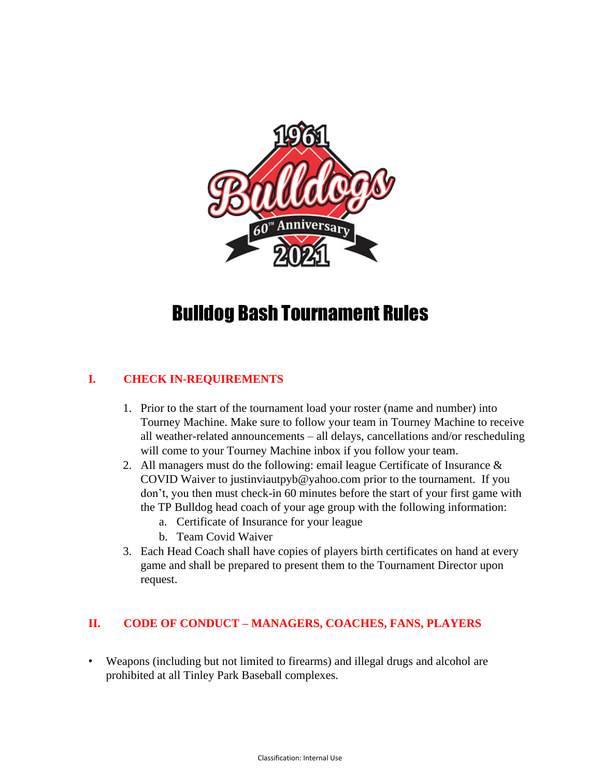

# Bulldog Bash Tournament Rules

## **I. CHECK IN-REQUIREMENTS**

- 1. Prior to the start of the tournament load your roster (name and number) into Tourney Machine. Make sure to follow your team in Tourney Machine to receive all weather-related announcements – all delays, cancellations and/or rescheduling will come to your Tourney Machine inbox if you follow your team.
- 2. All managers must do the following: email league Certificate of Insurance & COVID Waiver to justinviautpyb@yahoo.com prior to the tournament. If you don't, you then must check-in 60 minutes before the start of your first game with the TP Bulldog head coach of your age group with the following information:
	- a. Certificate of Insurance for your league
	- b. Team Covid Waiver
- 3. Each Head Coach shall have copies of players birth certificates on hand at every game and shall be prepared to present them to the Tournament Director upon request.

# **II. CODE OF CONDUCT – MANAGERS, COACHES, FANS, PLAYERS**

• Weapons (including but not limited to firearms) and illegal drugs and alcohol are prohibited at all Tinley Park Baseball complexes.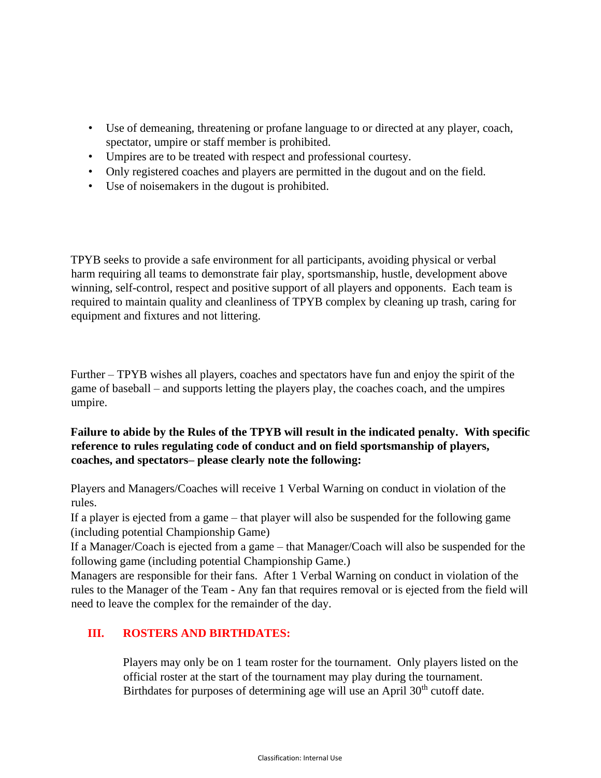- Use of demeaning, threatening or profane language to or directed at any player, coach, spectator, umpire or staff member is prohibited.
- Umpires are to be treated with respect and professional courtesy.
- Only registered coaches and players are permitted in the dugout and on the field.
- Use of noisemakers in the dugout is prohibited.

TPYB seeks to provide a safe environment for all participants, avoiding physical or verbal harm requiring all teams to demonstrate fair play, sportsmanship, hustle, development above winning, self-control, respect and positive support of all players and opponents. Each team is required to maintain quality and cleanliness of TPYB complex by cleaning up trash, caring for equipment and fixtures and not littering.

Further – TPYB wishes all players, coaches and spectators have fun and enjoy the spirit of the game of baseball – and supports letting the players play, the coaches coach, and the umpires umpire.

## **Failure to abide by the Rules of the TPYB will result in the indicated penalty. With specific reference to rules regulating code of conduct and on field sportsmanship of players, coaches, and spectators– please clearly note the following:**

Players and Managers/Coaches will receive 1 Verbal Warning on conduct in violation of the rules.

If a player is ejected from a game – that player will also be suspended for the following game (including potential Championship Game)

If a Manager/Coach is ejected from a game – that Manager/Coach will also be suspended for the following game (including potential Championship Game.)

Managers are responsible for their fans. After 1 Verbal Warning on conduct in violation of the rules to the Manager of the Team - Any fan that requires removal or is ejected from the field will need to leave the complex for the remainder of the day.

# **III. ROSTERS AND BIRTHDATES:**

Players may only be on 1 team roster for the tournament. Only players listed on the official roster at the start of the tournament may play during the tournament. Birthdates for purposes of determining age will use an April 30<sup>th</sup> cutoff date.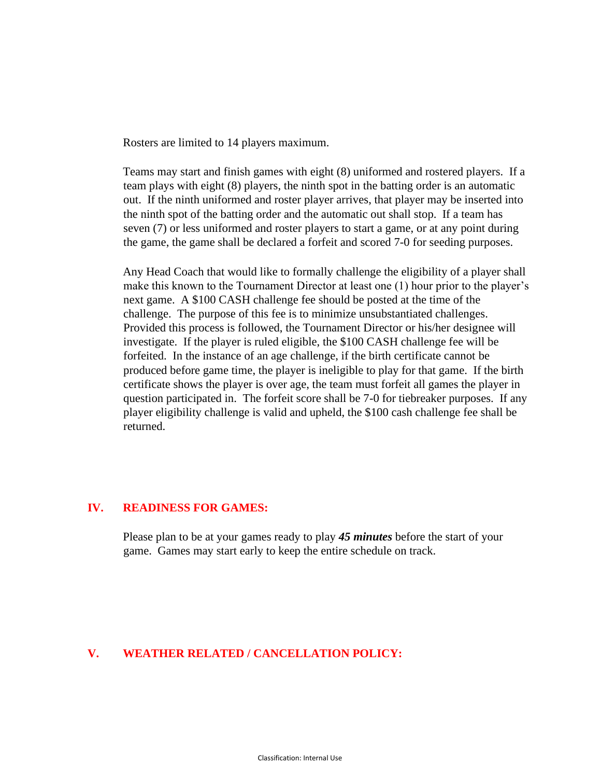Rosters are limited to 14 players maximum.

Teams may start and finish games with eight (8) uniformed and rostered players. If a team plays with eight (8) players, the ninth spot in the batting order is an automatic out. If the ninth uniformed and roster player arrives, that player may be inserted into the ninth spot of the batting order and the automatic out shall stop. If a team has seven (7) or less uniformed and roster players to start a game, or at any point during the game, the game shall be declared a forfeit and scored 7-0 for seeding purposes.

Any Head Coach that would like to formally challenge the eligibility of a player shall make this known to the Tournament Director at least one (1) hour prior to the player's next game. A \$100 CASH challenge fee should be posted at the time of the challenge. The purpose of this fee is to minimize unsubstantiated challenges. Provided this process is followed, the Tournament Director or his/her designee will investigate. If the player is ruled eligible, the \$100 CASH challenge fee will be forfeited. In the instance of an age challenge, if the birth certificate cannot be produced before game time, the player is ineligible to play for that game. If the birth certificate shows the player is over age, the team must forfeit all games the player in question participated in. The forfeit score shall be 7-0 for tiebreaker purposes. If any player eligibility challenge is valid and upheld, the \$100 cash challenge fee shall be returned.

#### **IV. READINESS FOR GAMES:**

Please plan to be at your games ready to play *45 minutes* before the start of your game. Games may start early to keep the entire schedule on track.

#### **V. WEATHER RELATED / CANCELLATION POLICY:**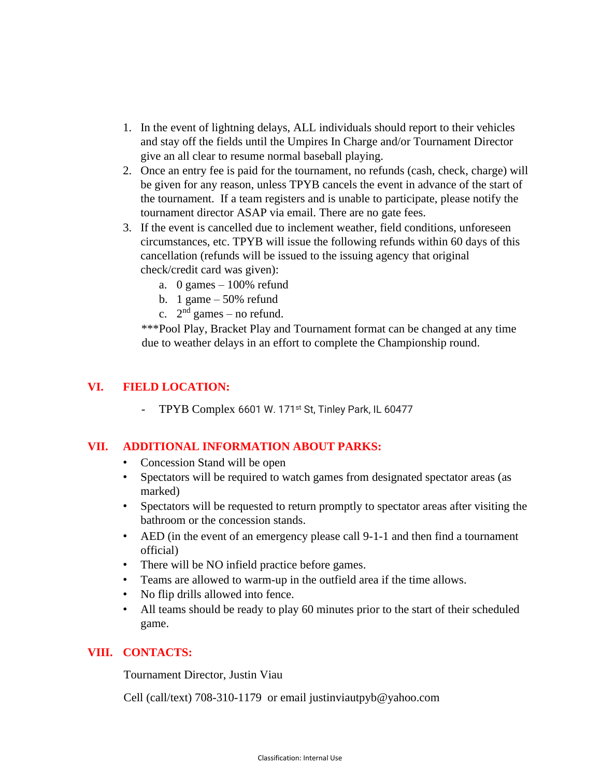- 1. In the event of lightning delays, ALL individuals should report to their vehicles and stay off the fields until the Umpires In Charge and/or Tournament Director give an all clear to resume normal baseball playing.
- 2. Once an entry fee is paid for the tournament, no refunds (cash, check, charge) will be given for any reason, unless TPYB cancels the event in advance of the start of the tournament. If a team registers and is unable to participate, please notify the tournament director ASAP via email. There are no gate fees.
- 3. If the event is cancelled due to inclement weather, field conditions, unforeseen circumstances, etc. TPYB will issue the following refunds within 60 days of this cancellation (refunds will be issued to the issuing agency that original check/credit card was given):
	- a. 0 games  $-100\%$  refund
	- b. 1 game  $-50\%$  refund
	- c.  $2<sup>nd</sup>$  games no refund.

\*\*\*Pool Play, Bracket Play and Tournament format can be changed at any time due to weather delays in an effort to complete the Championship round.

#### **VI. FIELD LOCATION:**

TPYB Complex 6601 W. 171<sup>st</sup> St, Tinley Park, IL 60477

## **VII. ADDITIONAL INFORMATION ABOUT PARKS:**

- Concession Stand will be open
- Spectators will be required to watch games from designated spectator areas (as marked)
- Spectators will be requested to return promptly to spectator areas after visiting the bathroom or the concession stands.
- AED (in the event of an emergency please call 9-1-1 and then find a tournament official)
- There will be NO infield practice before games.
- Teams are allowed to warm-up in the outfield area if the time allows.
- No flip drills allowed into fence.
- All teams should be ready to play 60 minutes prior to the start of their scheduled game.

## **VIII. CONTACTS:**

Tournament Director, Justin Viau

Cell (call/text) 708-310-1179 or email justinviautpyb@yahoo.com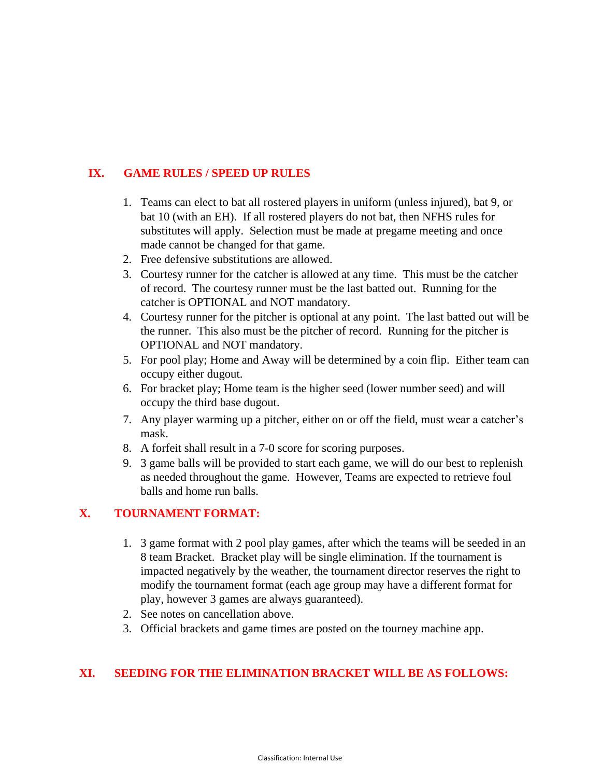# **IX. GAME RULES / SPEED UP RULES**

- 1. Teams can elect to bat all rostered players in uniform (unless injured), bat 9, or bat 10 (with an EH). If all rostered players do not bat, then NFHS rules for substitutes will apply. Selection must be made at pregame meeting and once made cannot be changed for that game.
- 2. Free defensive substitutions are allowed.
- 3. Courtesy runner for the catcher is allowed at any time. This must be the catcher of record. The courtesy runner must be the last batted out. Running for the catcher is OPTIONAL and NOT mandatory.
- 4. Courtesy runner for the pitcher is optional at any point. The last batted out will be the runner. This also must be the pitcher of record. Running for the pitcher is OPTIONAL and NOT mandatory.
- 5. For pool play; Home and Away will be determined by a coin flip. Either team can occupy either dugout.
- 6. For bracket play; Home team is the higher seed (lower number seed) and will occupy the third base dugout.
- 7. Any player warming up a pitcher, either on or off the field, must wear a catcher's mask.
- 8. A forfeit shall result in a 7-0 score for scoring purposes.
- 9. 3 game balls will be provided to start each game, we will do our best to replenish as needed throughout the game. However, Teams are expected to retrieve foul balls and home run balls.

## **X. TOURNAMENT FORMAT:**

- 1. 3 game format with 2 pool play games, after which the teams will be seeded in an 8 team Bracket. Bracket play will be single elimination. If the tournament is impacted negatively by the weather, the tournament director reserves the right to modify the tournament format (each age group may have a different format for play, however 3 games are always guaranteed).
- 2. See notes on cancellation above.
- 3. Official brackets and game times are posted on the tourney machine app.

# **XI. SEEDING FOR THE ELIMINATION BRACKET WILL BE AS FOLLOWS:**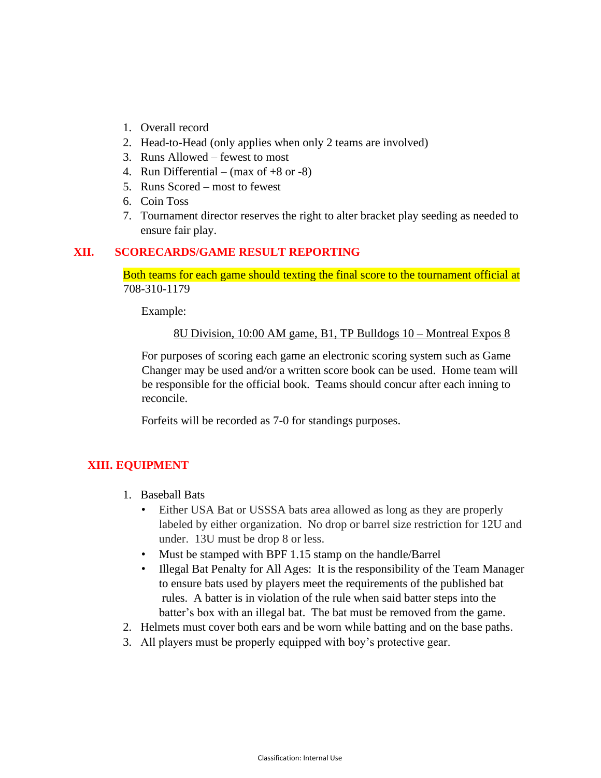- 1. Overall record
- 2. Head-to-Head (only applies when only 2 teams are involved)
- 3. Runs Allowed fewest to most
- 4. Run Differential (max of  $+8$  or  $-8$ )
- 5. Runs Scored most to fewest
- 6. Coin Toss
- 7. Tournament director reserves the right to alter bracket play seeding as needed to ensure fair play.

#### **XII. SCORECARDS/GAME RESULT REPORTING**

Both teams for each game should texting the final score to the tournament official at 708-310-1179

Example:

8U Division, 10:00 AM game, B1, TP Bulldogs 10 – Montreal Expos 8

For purposes of scoring each game an electronic scoring system such as Game Changer may be used and/or a written score book can be used. Home team will be responsible for the official book. Teams should concur after each inning to reconcile.

Forfeits will be recorded as 7-0 for standings purposes.

## **XIII. EQUIPMENT**

- 1. Baseball Bats
	- Either USA Bat or USSSA bats area allowed as long as they are properly labeled by either organization. No drop or barrel size restriction for 12U and under. 13U must be drop 8 or less.
	- Must be stamped with BPF 1.15 stamp on the handle/Barrel
	- Illegal Bat Penalty for All Ages: It is the responsibility of the Team Manager to ensure bats used by players meet the requirements of the published bat rules. A batter is in violation of the rule when said batter steps into the batter's box with an illegal bat. The bat must be removed from the game.
- 2. Helmets must cover both ears and be worn while batting and on the base paths.
- 3. All players must be properly equipped with boy's protective gear.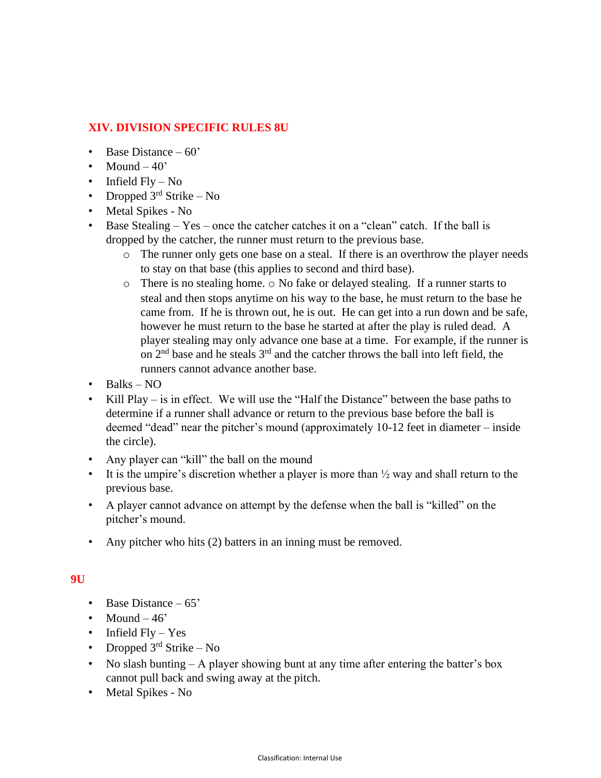## **XIV. DIVISION SPECIFIC RULES 8U**

- Base Distance  $-60'$
- Mound  $-40$ <sup>\*</sup>
- Infield  $Fly No$
- Dropped  $3<sup>rd</sup>$  Strike No
- Metal Spikes No
- Base Stealing Yes once the catcher catches it on a "clean" catch. If the ball is dropped by the catcher, the runner must return to the previous base.
	- o The runner only gets one base on a steal. If there is an overthrow the player needs to stay on that base (this applies to second and third base).
	- $\circ$  There is no stealing home.  $\circ$  No fake or delayed stealing. If a runner starts to steal and then stops anytime on his way to the base, he must return to the base he came from. If he is thrown out, he is out. He can get into a run down and be safe, however he must return to the base he started at after the play is ruled dead. A player stealing may only advance one base at a time. For example, if the runner is on  $2<sup>nd</sup>$  base and he steals  $3<sup>rd</sup>$  and the catcher throws the ball into left field, the runners cannot advance another base.
- Balks NO
- Kill Play is in effect. We will use the "Half the Distance" between the base paths to determine if a runner shall advance or return to the previous base before the ball is deemed "dead" near the pitcher's mound (approximately 10-12 feet in diameter – inside the circle).
- Any player can "kill" the ball on the mound
- It is the umpire's discretion whether a player is more than  $\frac{1}{2}$  way and shall return to the previous base.
- A player cannot advance on attempt by the defense when the ball is "killed" on the pitcher's mound.
- Any pitcher who hits (2) batters in an inning must be removed.

#### **9U**

- Base Distance 65'
- Mound  $-46$
- Infield  $Fly Yes$
- Dropped  $3<sup>rd</sup>$  Strike No
- No slash bunting A player showing bunt at any time after entering the batter's box cannot pull back and swing away at the pitch.
- Metal Spikes No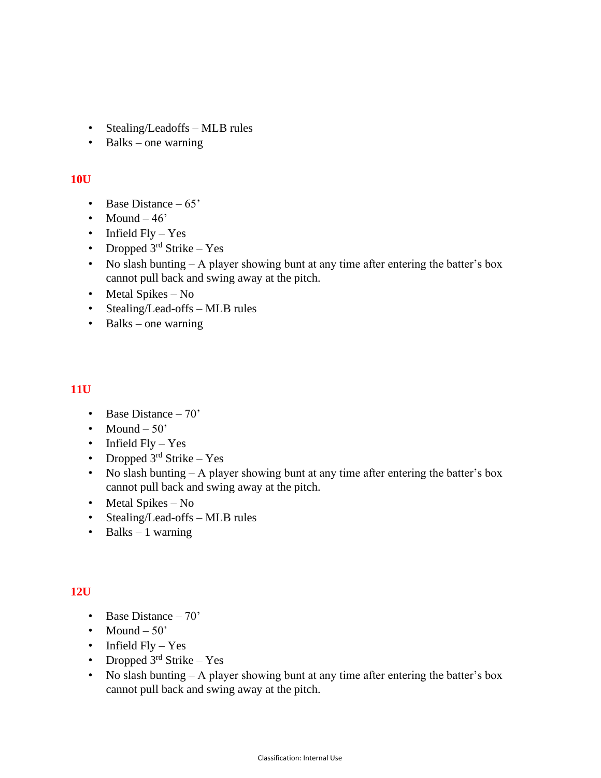- Stealing/Leadoffs MLB rules
- Balks one warning

#### **10U**

- Base Distance 65'
- Mound  $-46'$
- Infield  $Fly Yes$
- Dropped  $3^{rd}$  Strike Yes
- No slash bunting A player showing bunt at any time after entering the batter's box cannot pull back and swing away at the pitch.
- Metal Spikes No
- Stealing/Lead-offs MLB rules
- Balks one warning

#### **11U**

- Base Distance 70'
- Mound  $-50'$
- Infield  $Fly Yes$
- Dropped  $3<sup>rd</sup>$  Strike Yes
- No slash bunting  $A$  player showing bunt at any time after entering the batter's box cannot pull back and swing away at the pitch.
- Metal Spikes No
- Stealing/Lead-offs MLB rules
- Balks  $-1$  warning

#### **12U**

- Base Distance 70'
- Mound  $-50'$
- Infield Fly Yes
- Dropped  $3<sup>rd</sup>$  Strike Yes
- No slash bunting A player showing bunt at any time after entering the batter's box cannot pull back and swing away at the pitch.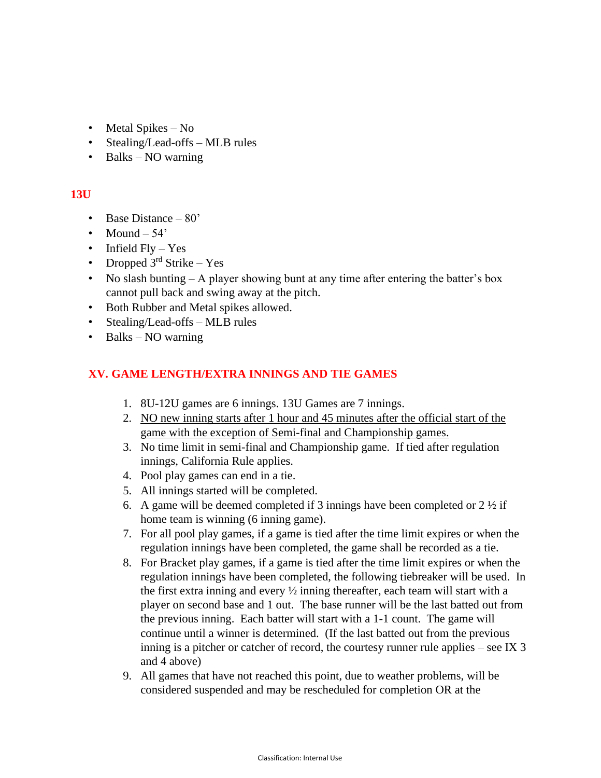- Metal Spikes No
- Stealing/Lead-offs MLB rules
- Balks NO warning

## **13U**

- Base Distance 80'
- Mound  $-54'$
- Infield  $Fly Yes$
- Dropped  $3<sup>rd</sup>$  Strike Yes
- No slash bunting A player showing bunt at any time after entering the batter's box cannot pull back and swing away at the pitch.
- Both Rubber and Metal spikes allowed.
- Stealing/Lead-offs MLB rules
- Balks NO warning

## **XV. GAME LENGTH/EXTRA INNINGS AND TIE GAMES**

- 1. 8U-12U games are 6 innings. 13U Games are 7 innings.
- 2. NO new inning starts after 1 hour and 45 minutes after the official start of the game with the exception of Semi-final and Championship games.
- 3. No time limit in semi-final and Championship game. If tied after regulation innings, California Rule applies.
- 4. Pool play games can end in a tie.
- 5. All innings started will be completed.
- 6. A game will be deemed completed if 3 innings have been completed or  $2 \frac{1}{2}$  if home team is winning (6 inning game).
- 7. For all pool play games, if a game is tied after the time limit expires or when the regulation innings have been completed, the game shall be recorded as a tie.
- 8. For Bracket play games, if a game is tied after the time limit expires or when the regulation innings have been completed, the following tiebreaker will be used. In the first extra inning and every ½ inning thereafter, each team will start with a player on second base and 1 out. The base runner will be the last batted out from the previous inning. Each batter will start with a 1-1 count. The game will continue until a winner is determined. (If the last batted out from the previous inning is a pitcher or catcher of record, the courtesy runner rule applies – see IX 3 and 4 above)
- 9. All games that have not reached this point, due to weather problems, will be considered suspended and may be rescheduled for completion OR at the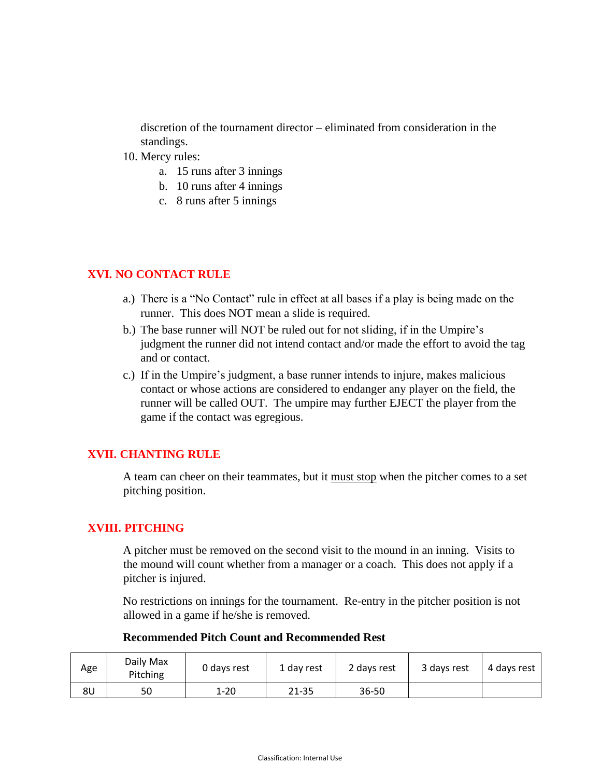discretion of the tournament director – eliminated from consideration in the standings.

- 10. Mercy rules:
	- a. 15 runs after 3 innings
	- b. 10 runs after 4 innings
	- c. 8 runs after 5 innings

## **XVI. NO CONTACT RULE**

- a.) There is a "No Contact" rule in effect at all bases if a play is being made on the runner. This does NOT mean a slide is required.
- b.) The base runner will NOT be ruled out for not sliding, if in the Umpire's judgment the runner did not intend contact and/or made the effort to avoid the tag and or contact.
- c.) If in the Umpire's judgment, a base runner intends to injure, makes malicious contact or whose actions are considered to endanger any player on the field, the runner will be called OUT. The umpire may further EJECT the player from the game if the contact was egregious.

# **XVII. CHANTING RULE**

A team can cheer on their teammates, but it must stop when the pitcher comes to a set pitching position.

## **XVIII. PITCHING**

A pitcher must be removed on the second visit to the mound in an inning. Visits to the mound will count whether from a manager or a coach. This does not apply if a pitcher is injured.

No restrictions on innings for the tournament. Re-entry in the pitcher position is not allowed in a game if he/she is removed.

#### **Recommended Pitch Count and Recommended Rest**

| Age            | Daily Max<br>Pitching | 0 days rest | 1 day rest | 2 days rest | 3 days rest | 4 days rest |
|----------------|-----------------------|-------------|------------|-------------|-------------|-------------|
| 8 <sub>U</sub> | 50                    | $1 - 20$    | 21-35      | 36-50       |             |             |